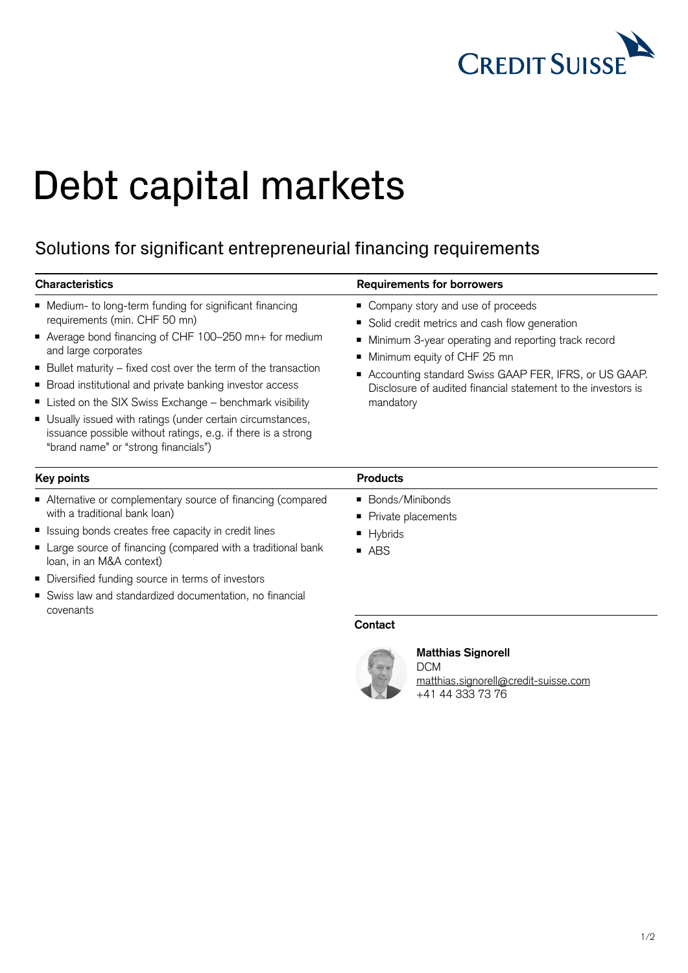

## Debt capital markets

## Solutions for significant entrepreneurial financing requirements

| <b>Requirements for borrowers</b>                                                                                                                                                                                                                                                                                     |
|-----------------------------------------------------------------------------------------------------------------------------------------------------------------------------------------------------------------------------------------------------------------------------------------------------------------------|
| • Company story and use of proceeds<br>Solid credit metrics and cash flow generation<br>• Minimum 3-year operating and reporting track record<br>Minimum equity of CHF 25 mn<br>■ Accounting standard Swiss GAAP FER, IFRS, or US GAAP.<br>Disclosure of audited financial statement to the investors is<br>mandatory |
| <b>Products</b>                                                                                                                                                                                                                                                                                                       |
| ■ Bonds/Minibonds<br>Private placements<br>■ Hybrids<br>$-$ ABS<br>Contact                                                                                                                                                                                                                                            |
|                                                                                                                                                                                                                                                                                                                       |



## **Matthias Signorell**

DCM [matthias.signorell@credit-suisse.com](mailto:matthias.signorell%40credit-suisse.com?subject=) +41 44 333 73 76